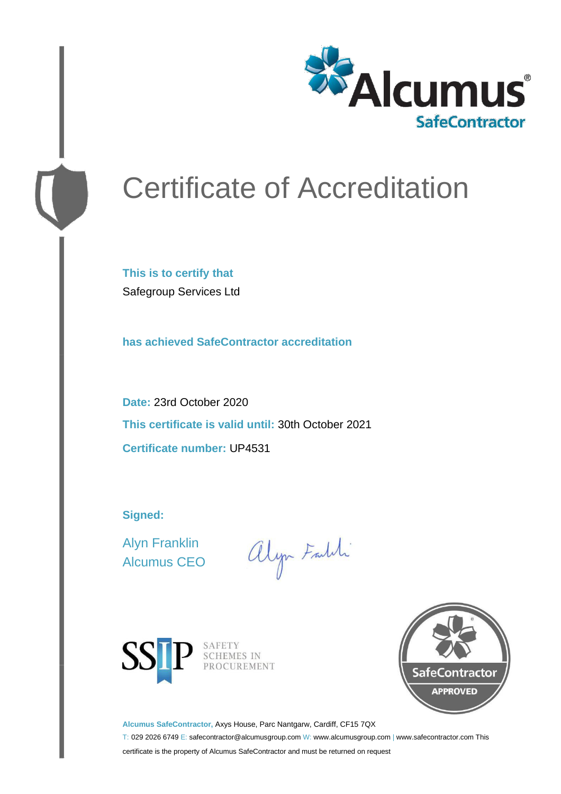

# Certificate of Accreditation

**This is to certify that** Safegroup Services Ltd

**has achieved SafeContractor accreditation**

**Date:** 23rd October 2020 **This certificate is valid until:** 30th October 2021 **Certificate number:** UP4531

**Signed:**

Alyn Franklin Alcumus CEO

alyn Faith



SAFETY<br>SCHEMES IN PROCUREMENT



**Alcumus SafeContractor,** Axys House, Parc Nantgarw, Cardiff, CF15 7QX

T: 029 2026 6749 E: safecontractor@alcumusgroup.com W: www.alcumusgroup.com | www.safecontractor.com This certificate is the property of Alcumus SafeContractor and must be returned on request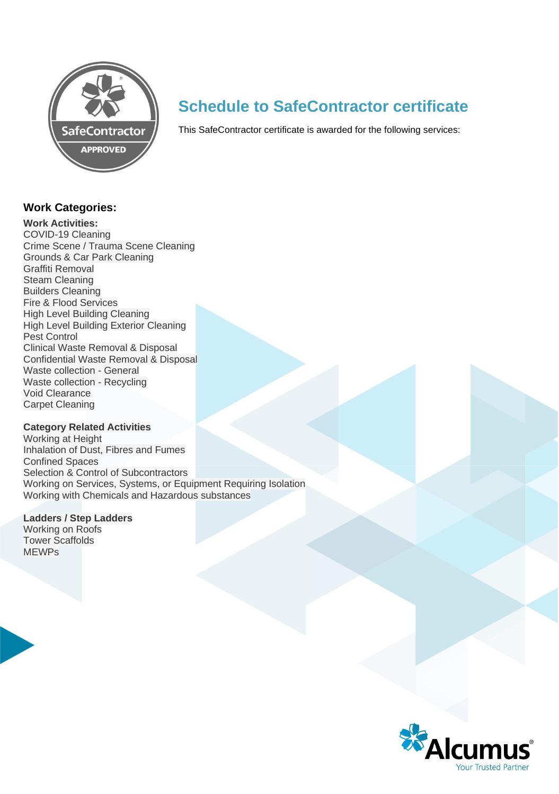

# **Schedule to SafeContractor certificate**

This SafeContractor certificate is awarded for the following services:

### **Work Categories:**

#### **Work Activities:**

COVID-19 Cleaning Crime Scene / Trauma Scene Cleaning Grounds & Car Park Cleaning Graffiti Removal Steam Cleaning Builders Cleaning Fire & Flood Services High Level Building Cleaning High Level Building Exterior Cleaning Pest Control Clinical Waste Removal & Disposal Confidential Waste Removal & Disposal Waste collection - General Waste collection - Recycling Void Clearance Carpet Cleaning

#### **Category Related Activities**

Working at Height Inhalation of Dust, Fibres and Fumes Confined Spaces Selection & Control of Subcontractors Working on Services, Systems, or Equipment Requiring Isolation Working with Chemicals and Hazardous substances

# **Ladders / Step Ladders**

Working on Roofs Tower Scaffolds MEWPs